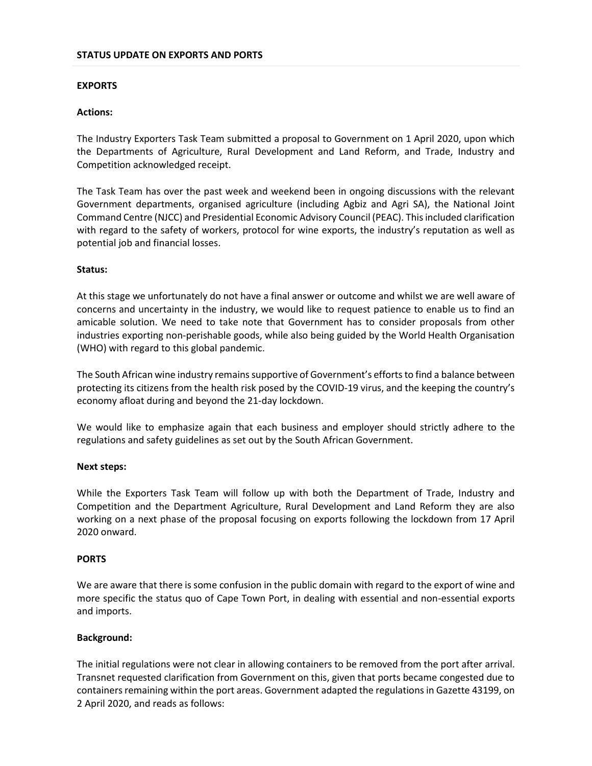### **EXPORTS**

## **Actions:**

The Industry Exporters Task Team submitted a proposal to Government on 1 April 2020, upon which the Departments of Agriculture, Rural Development and Land Reform, and Trade, Industry and Competition acknowledged receipt.

The Task Team has over the past week and weekend been in ongoing discussions with the relevant Government departments, organised agriculture (including Agbiz and Agri SA), the National Joint Command Centre (NJCC) and Presidential Economic Advisory Council (PEAC). This included clarification with regard to the safety of workers, protocol for wine exports, the industry's reputation as well as potential job and financial losses.

# **Status:**

At this stage we unfortunately do not have a final answer or outcome and whilst we are well aware of concerns and uncertainty in the industry, we would like to request patience to enable us to find an amicable solution. We need to take note that Government has to consider proposals from other industries exporting non-perishable goods, while also being guided by the World Health Organisation (WHO) with regard to this global pandemic.

The South African wine industry remains supportive of Government's efforts to find a balance between protecting its citizens from the health risk posed by the COVID-19 virus, and the keeping the country's economy afloat during and beyond the 21-day lockdown.

We would like to emphasize again that each business and employer should strictly adhere to the regulations and safety guidelines as set out by the South African Government.

### **Next steps:**

While the Exporters Task Team will follow up with both the Department of Trade, Industry and Competition and the Department Agriculture, Rural Development and Land Reform they are also working on a next phase of the proposal focusing on exports following the lockdown from 17 April 2020 onward.

### **PORTS**

We are aware that there is some confusion in the public domain with regard to the export of wine and more specific the status quo of Cape Town Port, in dealing with essential and non-essential exports and imports.

### **Background:**

The initial regulations were not clear in allowing containers to be removed from the port after arrival. Transnet requested clarification from Government on this, given that ports became congested due to containers remaining within the port areas. Government adapted the regulations in Gazette 43199, on 2 April 2020, and reads as follows: